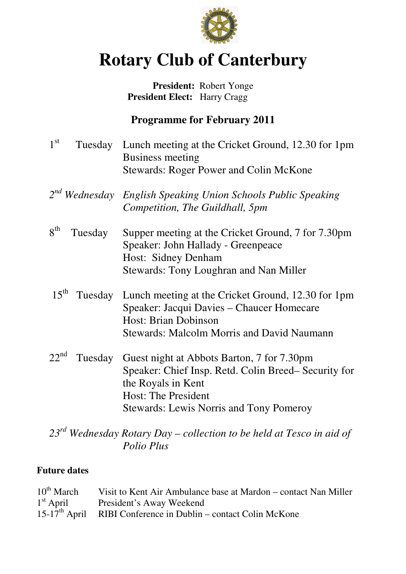

# **Rotary Club of Canterbury**

## **President:** Robert Yonge  **President Elect:** Harry Cragg

# **Programme for February 2011**

- $1<sup>st</sup>$ Tuesday Lunch meeting at the Cricket Ground, 12.30 for 1pm Business meeting Stewards: Roger Power and Colin McKone
- *2 nd Wednesday English Speaking Union Schools Public Speaking Competition, The Guildhall, 5pm*
- $8<sup>th</sup>$ Tuesday Supper meeting at the Cricket Ground, 7 for 7.30pm Speaker: John Hallady - Greenpeace Host: Sidney Denham Stewards: Tony Loughran and Nan Miller
- 15<sup>th</sup> Tuesday Lunch meeting at the Cricket Ground, 12.30 for 1pm Speaker: Jacqui Davies – Chaucer Homecare Host: Brian Dobinson Stewards: Malcolm Morris and David Naumann
- $22<sup>nd</sup>$  Tuesday Guest night at Abbots Barton, 7 for 7.30pm Speaker: Chief Insp. Retd. Colin Breed– Security for the Royals in Kent Host: The President Stewards: Lewis Norris and Tony Pomeroy

# *23rd Wednesday Rotary Day – collection to be held at Tesco in aid of Polio Plus*

### **Future dates**

| $10^{th}$ March | Visit to Kent Air Ambulance base at Mardon – contact Nan Miller  |
|-----------------|------------------------------------------------------------------|
| $1st$ April     | President's Away Weekend                                         |
|                 | $15-17th$ April RIBI Conference in Dublin – contact Colin McKone |